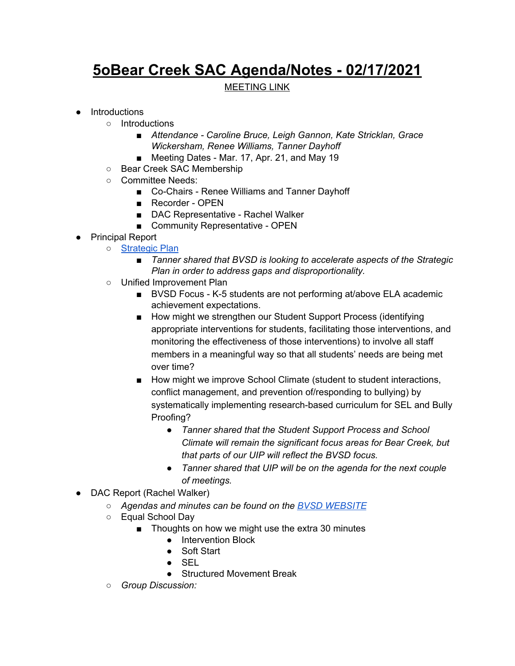## **5oBear Creek SAC Agenda/Notes - 02/17/2021**

## MEETING LINK

- Introductions
	- Introductions
		- *■ Attendance - Caroline Bruce, Leigh Gannon, Kate Stricklan, Grace Wickersham, Renee Williams, Tanner Dayhoff*
		- *■* Meeting Dates Mar. 17, Apr. 21, and May 19
	- Bear Creek SAC Membership
	- Committee Needs:
		- Co-Chairs Renee Williams and Tanner Dayhoff
		- Recorder OPEN
		- DAC Representative Rachel Walker
		- Community Representative OPEN
- Principal Report
	- [Strategic](https://www.bvsd.org/about/strategic-plan) Plan
		- *■ Tanner shared that BVSD is looking to accelerate aspects of the Strategic Plan in order to address gaps and disproportionality.*
		- Unified Improvement Plan
			- BVSD Focus K-5 students are not performing at/above ELA academic achievement expectations.
			- How might we strengthen our Student Support Process (identifying appropriate interventions for students, facilitating those interventions, and monitoring the effectiveness of those interventions) to involve all staff members in a meaningful way so that all students' needs are being met over time?
			- How might we improve School Climate (student to student interactions, conflict management, and prevention of/responding to bullying) by systematically implementing research-based curriculum for SEL and Bully Proofing?
				- *● Tanner shared that the Student Support Process and School Climate will remain the significant focus areas for Bear Creek, but that parts of our UIP will reflect the BVSD focus.*
				- *● Tanner shared that UIP will be on the agenda for the next couple of meetings.*
- *●* DAC Report (Rachel Walker)
	- *○ Agendas and minutes can be found on the BVSD [WEBSITE](https://www.bvsd.org/about/district-accountability-committee)*
	- *○* Equal School Day
		- Thoughts on how we might use the extra 30 minutes
			- Intervention Block
			- Soft Start
			- $\bullet$  SEL
			- Structured Movement Break
	- *○ Group Discussion:*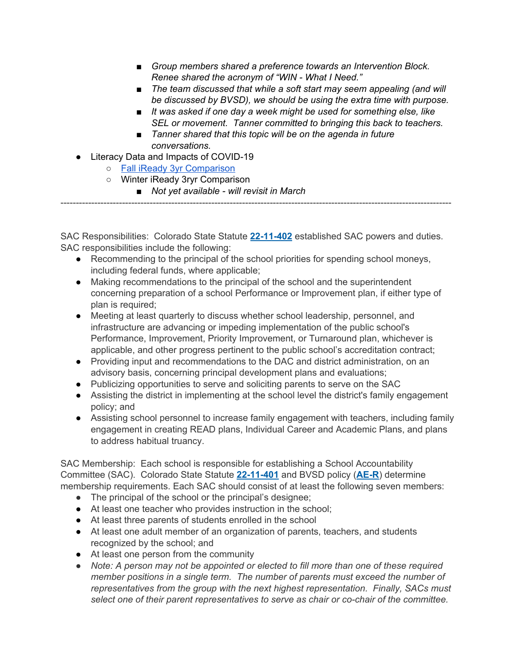- *■ Group members shared a preference towards an Intervention Block. Renee shared the acronym of "WIN - What I Need."*
- *■ The team discussed that while a soft start may seem appealing (and will be discussed by BVSD), we should be using the extra time with purpose.*
- *■ It was asked if one day a week might be used for something else, like SEL or movement. Tanner committed to bringing this back to teachers.*
- *■ Tanner shared that this topic will be on the agenda in future conversations.*
- Literacy Data and Impacts of COVID-19
	- Fall iReady 3yr [Comparison](https://drive.google.com/file/d/144zr-YtHzlEsJyPxirxrQglLKhXYXdHu/view?usp=sharing)
	- Winter iReady 3ryr Comparison
		- *■ Not yet available - will revisit in March*

SAC Responsibilities: Colorado State Statute **[22-11-402](http://www.lpdirect.net/casb/crs/22-11-402.html)** established SAC powers and duties. SAC responsibilities include the following:

-------------------------------------------------------------------------------------------------------------------------------

- Recommending to the principal of the school priorities for spending school moneys, including federal funds, where applicable;
- Making recommendations to the principal of the school and the superintendent concerning preparation of a school Performance or Improvement plan, if either type of plan is required;
- Meeting at least quarterly to discuss whether school leadership, personnel, and infrastructure are advancing or impeding implementation of the public school's Performance, Improvement, Priority Improvement, or Turnaround plan, whichever is applicable, and other progress pertinent to the public school's accreditation contract;
- Providing input and recommendations to the DAC and district administration, on an advisory basis, concerning principal development plans and evaluations;
- Publicizing opportunities to serve and soliciting parents to serve on the SAC
- Assisting the district in implementing at the school level the district's family engagement policy; and
- Assisting school personnel to increase family engagement with teachers, including family engagement in creating READ plans, Individual Career and Academic Plans, and plans to address habitual truancy.

SAC Membership: Each school is responsible for establishing a School Accountability Committee (SAC). Colorado State Statute **[22-11-401](http://www.lpdirect.net/casb/crs/22-11-401.html)** and BVSD policy (**[AE-R](https://www.bvsd.org/about/board-of-education/policies/policy/~board/a-policies/post/accountabilitycommitment-to-accomplishment-regulation)**) determine membership requirements. Each SAC should consist of at least the following seven members:

- The principal of the school or the principal's designee;
- At least one teacher who provides instruction in the school;
- At least three parents of students enrolled in the school
- At least one adult member of an organization of parents, teachers, and students recognized by the school; and
- At least one person from the community
- *● Note: A person may not be appointed or elected to fill more than one of these required member positions in a single term. The number of parents must exceed the number of representatives from the group with the next highest representation. Finally, SACs must select one of their parent representatives to serve as chair or co-chair of the committee.*